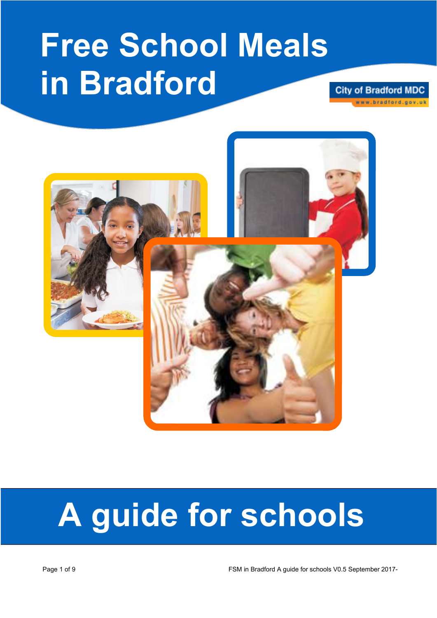## **Free School Meals in Bradford**

**City of Bradford MDC** ww.bradford.gov.uk



# **A guide for schools**

Page 1 of 9 FSM in Bradford A guide for schools V0.5 September 2017-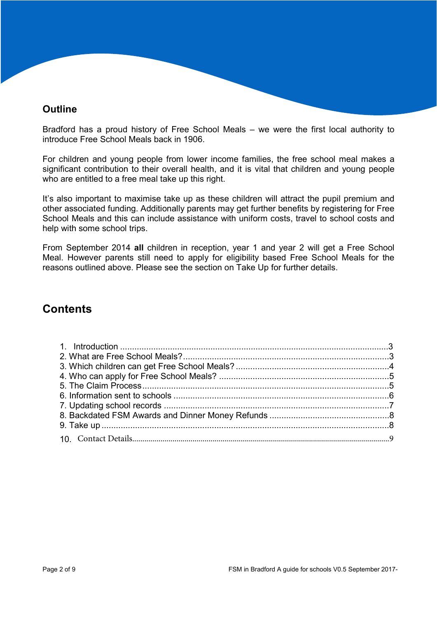## **Outline**

Bradford has a proud history of Free School Meals – we were the first local authority to introduce Free School Meals back in 1906.

For children and young people from lower income families, the free school meal makes a significant contribution to their overall health, and it is vital that children and young people who are entitled to a free meal take up this right.

It's also important to maximise take up as these children will attract the pupil premium and other associated funding. Additionally parents may get further benefits by registering for Free School Meals and this can include assistance with uniform costs, travel to school costs and help with some school trips.

From September 2014 **all** children in reception, year 1 and year 2 will get a Free School Meal. However parents still need to apply for eligibility based Free School Meals for the reasons outlined above. Please see the section on Take Up for further details.

## **Contents**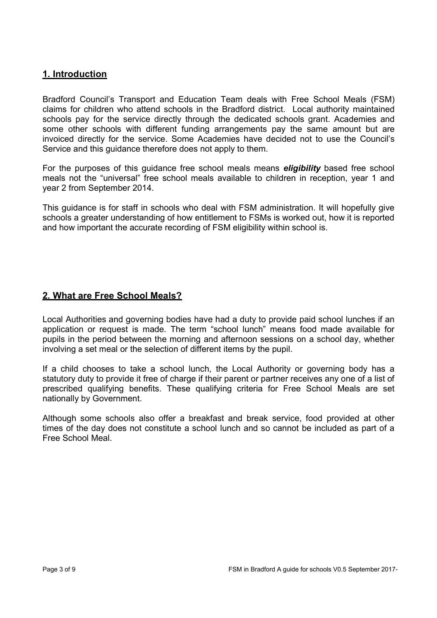## **1. Introduction**

Bradford Council's Transport and Education Team deals with Free School Meals (FSM) claims for children who attend schools in the Bradford district. Local authority maintained schools pay for the service directly through the dedicated schools grant. Academies and some other schools with different funding arrangements pay the same amount but are invoiced directly for the service. Some Academies have decided not to use the Council's Service and this guidance therefore does not apply to them.

For the purposes of this guidance free school meals means *eligibility* based free school meals not the "universal" free school meals available to children in reception, year 1 and year 2 from September 2014.

This guidance is for staff in schools who deal with FSM administration. It will hopefully give schools a greater understanding of how entitlement to FSMs is worked out, how it is reported and how important the accurate recording of FSM eligibility within school is.

## **2. What are Free School Meals?**

Local Authorities and governing bodies have had a duty to provide paid school lunches if an application or request is made. The term "school lunch" means food made available for pupils in the period between the morning and afternoon sessions on a school day, whether involving a set meal or the selection of different items by the pupil.

If a child chooses to take a school lunch, the Local Authority or governing body has a statutory duty to provide it free of charge if their parent or partner receives any one of a list of prescribed qualifying benefits. These qualifying criteria for Free School Meals are set nationally by Government.

Although some schools also offer a breakfast and break service, food provided at other times of the day does not constitute a school lunch and so cannot be included as part of a Free School Meal.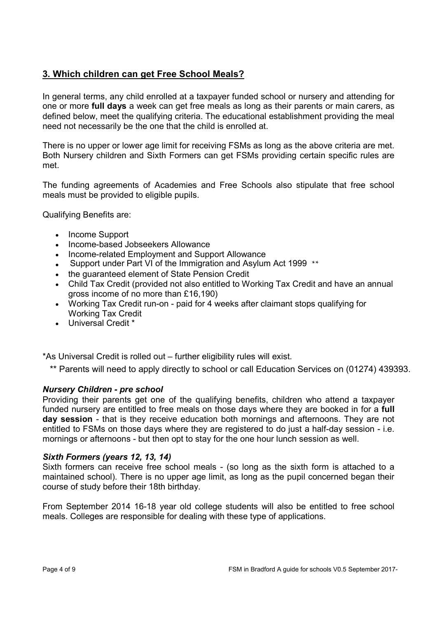## **3. Which children can get Free School Meals?**

In general terms, any child enrolled at a taxpayer funded school or nursery and attending for one or more **full days** a week can get free meals as long as their parents or main carers, as defined below, meet the qualifying criteria. The educational establishment providing the meal need not necessarily be the one that the child is enrolled at.

There is no upper or lower age limit for receiving FSMs as long as the above criteria are met. Both Nursery children and Sixth Formers can get FSMs providing certain specific rules are met.

The funding agreements of Academies and Free Schools also stipulate that free school meals must be provided to eligible pupils.

Qualifying Benefits are:

- Income Support
- Income-based Jobseekers Allowance
- Income-related Employment and Support Allowance
- Support under Part VI of the Immigration and Asylum Act 1999 \*\*
- the guaranteed element of State Pension Credit
- Child Tax Credit (provided not also entitled to Working Tax Credit and have an annual gross income of no more than £16,190)
- Working Tax Credit run-on paid for 4 weeks after claimant stops qualifying for Working Tax Credit
- Universal Credit \*

\*As Universal Credit is rolled out – further eligibility rules will exist.

\*\* Parents will need to apply directly to school or call Education Services on (01274) 439393.

#### *Nursery Children - pre school*

Providing their parents get one of the qualifying benefits, children who attend a taxpayer funded nursery are entitled to free meals on those days where they are booked in for a **full day session** - that is they receive education both mornings and afternoons. They are not entitled to FSMs on those days where they are registered to do just a half-day session - i.e. mornings or afternoons - but then opt to stay for the one hour lunch session as well.

#### *Sixth Formers (years 12, 13, 14)*

Sixth formers can receive free school meals - (so long as the sixth form is attached to a maintained school). There is no upper age limit, as long as the pupil concerned began their course of study before their 18th birthday.

From September 2014 16-18 year old college students will also be entitled to free school meals. Colleges are responsible for dealing with these type of applications.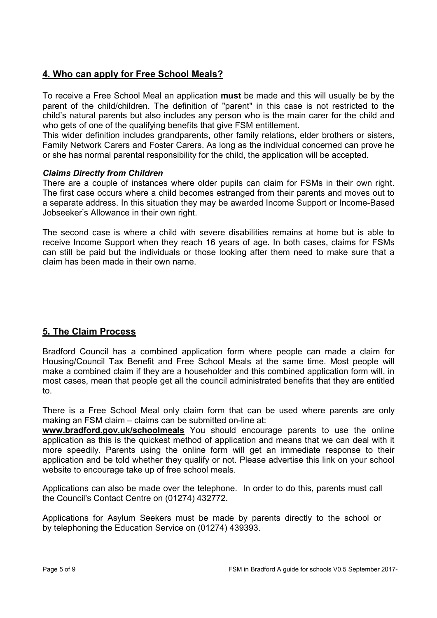## **4. Who can apply for Free School Meals?**

To receive a Free School Meal an application **must** be made and this will usually be by the parent of the child/children. The definition of "parent" in this case is not restricted to the child's natural parents but also includes any person who is the main carer for the child and who gets of one of the qualifying benefits that give FSM entitlement.

This wider definition includes grandparents, other family relations, elder brothers or sisters, Family Network Carers and Foster Carers. As long as the individual concerned can prove he or she has normal parental responsibility for the child, the application will be accepted.

#### *Claims Directly from Children*

There are a couple of instances where older pupils can claim for FSMs in their own right. The first case occurs where a child becomes estranged from their parents and moves out to a separate address. In this situation they may be awarded Income Support or Income-Based Jobseeker's Allowance in their own right.

The second case is where a child with severe disabilities remains at home but is able to receive Income Support when they reach 16 years of age. In both cases, claims for FSMs can still be paid but the individuals or those looking after them need to make sure that a claim has been made in their own name.

## **5. The Claim Process**

Bradford Council has a combined application form where people can made a claim for Housing/Council Tax Benefit and Free School Meals at the same time. Most people will make a combined claim if they are a householder and this combined application form will, in most cases, mean that people get all the council administrated benefits that they are entitled to.

There is a Free School Meal only claim form that can be used where parents are only making an FSM claim – claims can be submitted on-line at:

**www.bradford.gov.uk/schoolmeals** You should encourage parents to use the online application as this is the quickest method of application and means that we can deal with it more speedily. Parents using the online form will get an immediate response to their application and be told whether they qualify or not. Please advertise this link on your school website to encourage take up of free school meals.

Applications can also be made over the telephone. In order to do this, parents must call the Council's Contact Centre on (01274) 432772.

Applications for Asylum Seekers must be made by parents directly to the school or by telephoning the Education Service on (01274) 439393.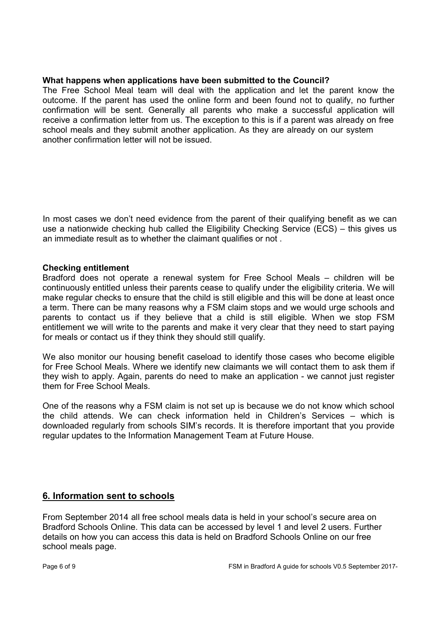#### **What happens when applications have been submitted to the Council?**

The Free School Meal team will deal with the application and let the parent know the outcome. If the parent has used the online form and been found not to qualify, no further confirmation will be sent. Generally all parents who make a successful application will receive a confirmation letter from us. The exception to this is if a parent was already on free school meals and they submit another application. As they are already on our system another confirmation letter will not be issued.

In most cases we don't need evidence from the parent of their qualifying benefit as we can use a nationwide checking hub called the Eligibility Checking Service (ECS) – this gives us an immediate result as to whether the claimant qualifies or not .

#### **Checking entitlement**

Bradford does not operate a renewal system for Free School Meals – children will be continuously entitled unless their parents cease to qualify under the eligibility criteria. We will make regular checks to ensure that the child is still eligible and this will be done at least once a term. There can be many reasons why a FSM claim stops and we would urge schools and parents to contact us if they believe that a child is still eligible. When we stop FSM entitlement we will write to the parents and make it very clear that they need to start paying for meals or contact us if they think they should still qualify.

We also monitor our housing benefit caseload to identify those cases who become eligible for Free School Meals. Where we identify new claimants we will contact them to ask them if they wish to apply. Again, parents do need to make an application - we cannot just register them for Free School Meals.

One of the reasons why a FSM claim is not set up is because we do not know which school the child attends. We can check information held in Children's Services – which is downloaded regularly from schools SIM's records. It is therefore important that you provide regular updates to the Information Management Team at Future House.

#### **6. Information sent to schools**

From September 2014 all free school meals data is held in your school's secure area on Bradford Schools Online. This data can be accessed by level 1 and level 2 users. Further details on how you can access this data is held on Bradford Schools Online on our free school meals page.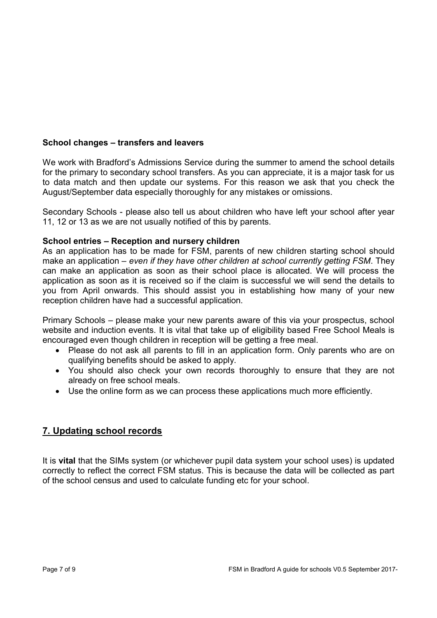#### **School changes – transfers and leavers**

We work with Bradford's Admissions Service during the summer to amend the school details for the primary to secondary school transfers. As you can appreciate, it is a major task for us to data match and then update our systems. For this reason we ask that you check the August/September data especially thoroughly for any mistakes or omissions.

Secondary Schools - please also tell us about children who have left your school after year 11, 12 or 13 as we are not usually notified of this by parents.

#### **School entries – Reception and nursery children**

As an application has to be made for FSM, parents of new children starting school should make an application – *even if they have other children at school currently getting FSM*. They can make an application as soon as their school place is allocated. We will process the application as soon as it is received so if the claim is successful we will send the details to you from April onwards. This should assist you in establishing how many of your new reception children have had a successful application.

Primary Schools – please make your new parents aware of this via your prospectus, school website and induction events. It is vital that take up of eligibility based Free School Meals is encouraged even though children in reception will be getting a free meal.

- Please do not ask all parents to fill in an application form. Only parents who are on qualifying benefits should be asked to apply.
- You should also check your own records thoroughly to ensure that they are not already on free school meals.
- Use the online form as we can process these applications much more efficiently.

## **7. Updating school records**

It is **vital** that the SIMs system (or whichever pupil data system your school uses) is updated correctly to reflect the correct FSM status. This is because the data will be collected as part of the school census and used to calculate funding etc for your school.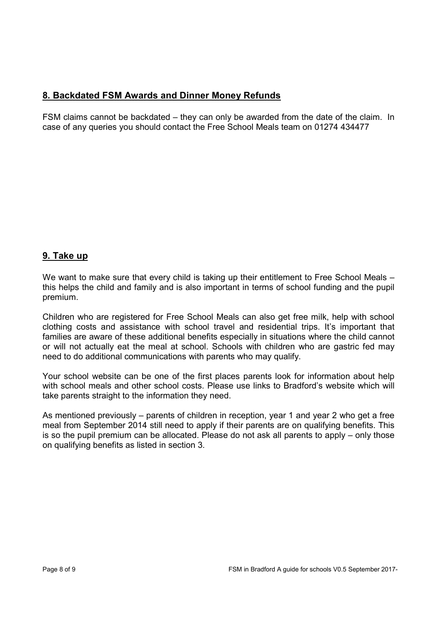## **8. Backdated FSM Awards and Dinner Money Refunds**

FSM claims cannot be backdated – they can only be awarded from the date of the claim. In case of any queries you should contact the Free School Meals team on 01274 434477

## **9. Take up**

We want to make sure that every child is taking up their entitlement to Free School Meals – this helps the child and family and is also important in terms of school funding and the pupil premium.

Children who are registered for Free School Meals can also get free milk, help with school clothing costs and assistance with school travel and residential trips. It's important that families are aware of these additional benefits especially in situations where the child cannot or will not actually eat the meal at school. Schools with children who are gastric fed may need to do additional communications with parents who may qualify.

Your school website can be one of the first places parents look for information about help with school meals and other school costs. Please use links to Bradford's website which will take parents straight to the information they need.

As mentioned previously – parents of children in reception, year 1 and year 2 who get a free meal from September 2014 still need to apply if their parents are on qualifying benefits. This is so the pupil premium can be allocated. Please do not ask all parents to apply – only those on qualifying benefits as listed in section 3.